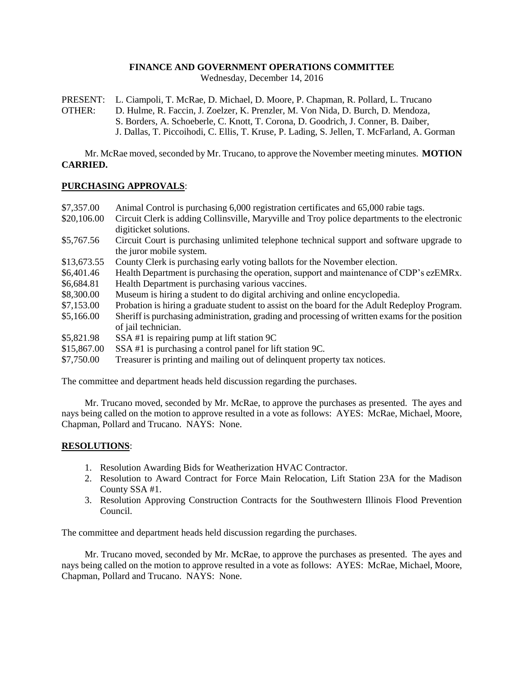# **FINANCE AND GOVERNMENT OPERATIONS COMMITTEE**

Wednesday, December 14, 2016

PRESENT: L. Ciampoli, T. McRae, D. Michael, D. Moore, P. Chapman, R. Pollard, L. Trucano OTHER: D. Hulme, R. Faccin, J. Zoelzer, K. Prenzler, M. Von Nida, D. Burch, D. Mendoza, S. Borders, A. Schoeberle, C. Knott, T. Corona, D. Goodrich, J. Conner, B. Daiber, J. Dallas, T. Piccoihodi, C. Ellis, T. Kruse, P. Lading, S. Jellen, T. McFarland, A. Gorman

Mr. McRae moved, seconded by Mr. Trucano, to approve the November meeting minutes. **MOTION CARRIED.**

# **PURCHASING APPROVALS**:

| Animal Control is purchasing 6,000 registration certificates and 65,000 rabie tags.<br>Circuit Clerk is adding Collinsville, Maryville and Troy police departments to the electronic<br>digiticket solutions. |
|---------------------------------------------------------------------------------------------------------------------------------------------------------------------------------------------------------------|
| Circuit Court is purchasing unlimited telephone technical support and software upgrade to<br>the juror mobile system.                                                                                         |
| County Clerk is purchasing early voting ballots for the November election.                                                                                                                                    |
| Health Department is purchasing the operation, support and maintenance of CDP's ezEMRx.                                                                                                                       |
| Health Department is purchasing various vaccines.                                                                                                                                                             |
| Museum is hiring a student to do digital archiving and online encyclopedia.                                                                                                                                   |
| Probation is hiring a graduate student to assist on the board for the Adult Redeploy Program.                                                                                                                 |
| Sheriff is purchasing administration, grading and processing of written exams for the position<br>of jail technician.                                                                                         |
| SSA #1 is repairing pump at lift station 9C                                                                                                                                                                   |
| SSA#1 is purchasing a control panel for lift station 9C.                                                                                                                                                      |
| Treasurer is printing and mailing out of delinquent property tax notices.                                                                                                                                     |
|                                                                                                                                                                                                               |

The committee and department heads held discussion regarding the purchases.

Mr. Trucano moved, seconded by Mr. McRae, to approve the purchases as presented. The ayes and nays being called on the motion to approve resulted in a vote as follows: AYES: McRae, Michael, Moore, Chapman, Pollard and Trucano. NAYS: None.

# **RESOLUTIONS**:

- 1. Resolution Awarding Bids for Weatherization HVAC Contractor.
- 2. Resolution to Award Contract for Force Main Relocation, Lift Station 23A for the Madison County SSA #1.
- 3. Resolution Approving Construction Contracts for the Southwestern Illinois Flood Prevention Council.

The committee and department heads held discussion regarding the purchases.

Mr. Trucano moved, seconded by Mr. McRae, to approve the purchases as presented. The ayes and nays being called on the motion to approve resulted in a vote as follows: AYES: McRae, Michael, Moore, Chapman, Pollard and Trucano. NAYS: None.